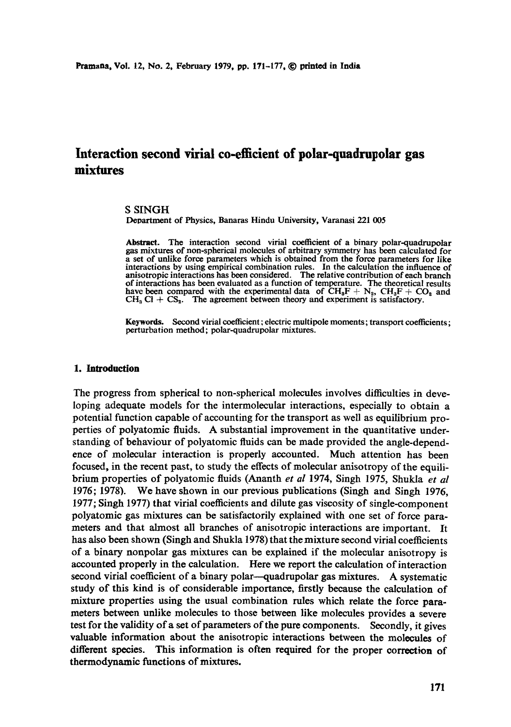# **Interaction second virial co-efflcient of polar-quadrupolar gas mixtures**

## **S SINGH**

Department of Physics, Banaras Hindu University, Varanasi 221 005

Abstract. The interaction second virial coefficient of a binary polar-quadrupolar gas mixtures of non-spherical molecules of arbitrary symmetry has been calculated for a set of unlike force parameters which is obtained from the force parameters for like interactions by using empirical combination rules. In the calculation the influence of anisotropic interactions has been considered. The relative contribution of each branch of interactions has been evaluated as a function of temperature. The theoretical results have been compared with the experimental data of  $CH_3F + N_2$ ,  $CH_3F + CO_2$  and  $CH<sub>3</sub> Cl + CS<sub>2</sub>$ . The agreement between theory and experiment is satisfactory.

Keywords. Second virial coefficient; electric muitipole moments; transport coefficients; perturbation method; polar-quadrupolar mixtures.

## **1. Inlroducfion**

The progress from spherical to non-spherical molecules involves difficulties in developing adequate models for the intermolecular interactions, especially to obtain a potential function capable of accounting for the transport as well as equilibrium properties of polyatomie fluids. A substantial improvement in the quantitative understanding of behaviour of polyatomic fluids can be made provided the angle-dependence of molecular interaction is properly accounted. Much attention has been focused, in the recent past, to study the effects of molecular anisotropy of the equilibrium properties of polyatomie fluids (Ananth *et al* 1974, Singh 1975, Shukla *et al*  1976; 1978). We have shown in our previous publications (Singh and Singh 1976, 1977; Singh 1977) that virial coefficients and dilute gas viscosity of single-component polyatomie gas mixtures can be satisfactorily explained with one set of force parameters and that almost all branches of anisotropic interactions are important. It has also been shown (Singh and Shukla 1978) that the mixture second virial coefficients of a binary nonpolar gas mixtures can be explained if the molecular anisotropy is accounted properly in the calculation. Here we report the calculation of interaction second virial coefficient of a binary polar--quadrupolar gas mixtures. A systematic study of this kind is of considerable importance, firstly because the calculation of mixture properties using the usual combination rules which relate the force parameters between unlike molecules to those between like molecules provides a severe test for the validity of a set of parameters of the pure components. Secondly, it gives valuable information about the anisotropic interactions between the molecules of different species. This information is often required for the proper correction of thermodynamic functions of mixtures.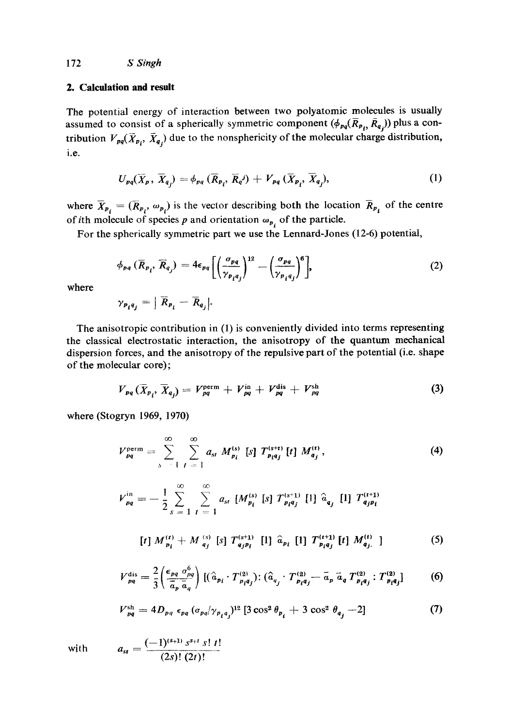## **2. Calculation and result**

The potential energy of interaction between two polyatomic molecules is usually assumed to consist of a spherically symmetric component  $(\phi_{pq}(\overline{R}_{p_i}, \overline{R}_{q_i}))$  plus a contribution  $V_{pq}(\bar{X}_{p_i}, \bar{X}_{q_i})$  due to the nonsphericity of the molecular charge distribution, i.e.

$$
U_{pq}(\overline{X}_p, \overline{X}_{q_j}) = \phi_{pq} (\overline{R}_{p_i}, \overline{R}_{q}) + V_{pq} (\overline{X}_{p_i}, \overline{X}_{q_j}), \qquad (1)
$$

where  $\overline{X}_{P_i} = (\overline{R}_{P_i}, \omega_{P_i})$  is the vector describing both the location  $\overline{R}_{P_i}$  of the centre of ith molecule of species p and orientation  $\omega_{p_i}$  of the particle.

For the spherically symmetric part we use the Lennard-Jones (12-6) potential,

$$
\phi_{pq} \left( \overline{R}_{p_i}, \overline{R}_{q_j} \right) = 4 \epsilon_{pq} \left[ \left( \frac{\sigma_{pq}}{\gamma_{p_i q_j}} \right)^{12} - \left( \frac{\sigma_{pq}}{\gamma_{p_i q_j}} \right)^6 \right], \tag{2}
$$

where

$$
\gamma_{p_i q_j} = |\overline{R}_{p_i} - \overline{R}_{q_j}|.
$$

The anisotropic contribution in (1) is conveniently divided into terms representing the classical electrostatic interaction, the anisotropy of the quantum mechanical dispersion forces, and the anisotropy of the repulsive part of the potential (i.e. shape of the molecular core);

$$
V_{pq}(\overline{X}_{p_i}, \overline{X}_{q_j}) = V_{pq}^{\text{perm}} + V_{pq}^{\text{in}} + V_{pq}^{\text{dis}} + V_{pq}^{\text{sh}}
$$
(3)

where (Stogryn 1969, 1970)

$$
V_{pq}^{\text{perm}} = \sum_{s}^{\infty} \sum_{l}^{\infty} a_{st} M_{p_l}^{(s)} \text{ [s] } T_{p_l q_j}^{(s+t)} \text{ [t] } M_{q_j}^{(t)}, \qquad (4)
$$

$$
V_{pq}^{in} = -\frac{1}{2} \sum_{s=1}^{\infty} \sum_{t=1}^{\infty} a_{st} [M_{p_i}^{(s)} [s] T_{p_i q_j}^{(s+1)} [1] \hat{a}_{q_j} [1] T_{q_j p_i}^{(t+1)}
$$
  
[t] 
$$
M_{p_i}^{(t)} + M_{q_j}^{(s)} [s] T_{q_j p_i}^{(s+1)} [1] \hat{a}_{p_i} [1] T_{p_i q_j}^{(t+1)} [t] M_{q_j}^{(t)} ]
$$
(5)

$$
V_{pq}^{\text{dis}} = \frac{2}{3} \left( \frac{\epsilon_{pq} \sigma_{pq}^6}{\overline{a}_p \overline{a}_q} \right) \left[ (\hat{a}_{p_i} \cdot T_{p_i q_j}^{(2)}) : (\hat{a}_{q_j} \cdot T_{p_i q_j}^{(2)} - \overline{a}_p \overline{a}_q T_{p_i q_j}^{(2)} : T_{p_i q_j}^{(2)} \right] \tag{6}
$$

$$
V_{pq}^{\rm sh} = 4D_{pq} \epsilon_{pq} (\sigma_{pq}/\gamma_{p_i q_j})^{12} [3 \cos^2 \theta_{p_i} + 3 \cos^2 \theta_{q_j} - 2]
$$
 (7)

with 
$$
a_{st} = \frac{(-1)^{(s+1)} s^{s+t} s! t!}{(2s)!(2t)!}
$$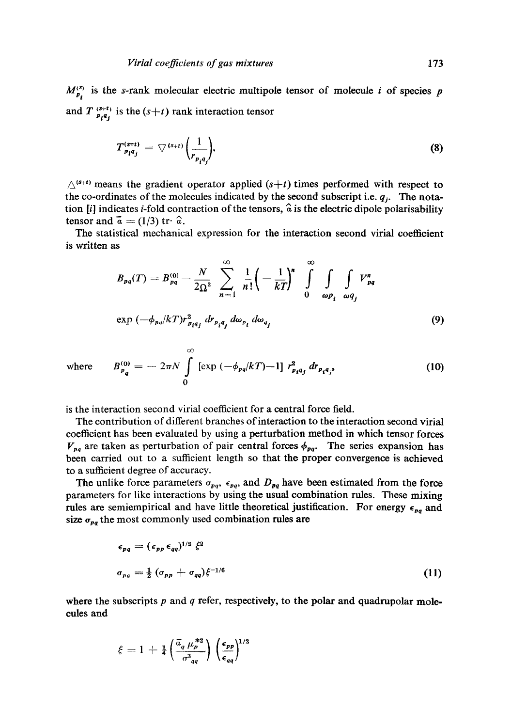$M_{\nu_i}^{(3)}$  is the s-rank molecular electric multipole tensor of molecule i of species p and  $T^{(s+t)}_{p,q}$  is the  $(s+t)$  rank interaction tensor

$$
T_{p_i q_j}^{(s+t)} = \nabla^{(s+t)} \left( \frac{1}{r_{p_i q_j}} \right), \tag{8}
$$

 $\triangle^{(s+t)}$  means the gradient operator applied  $(s+t)$  times performed with respect to the co-ordinates of the molecules indicated by the second subscript i.e. *qj. The* notation [i] indicates *i*-fold contraction of the tensors,  $\hat{a}$  is the electric dipole polarisability tensor and  $\vec{a} = (1/3) \text{ tr} \cdot \hat{a}$ .

The statistical mechanical expression for the interaction second virial coefficient is written as

$$
B_{pq}(T) = B_{pq}^{(0)} - \frac{N}{2\Omega^2} \sum_{n=1}^{\infty} \frac{1}{n!} \left( -\frac{1}{kT} \right)^n \int_{\omega p_i}^{\infty} \int_{\omega q_j} V_{pq}^n
$$
  
\n
$$
\exp \left( -\phi_{pq} / kT \right) r_{p_i q_j}^2 \, dr_{p_i q_j} \, d\omega_{p_i} \, d\omega_{q_j} \tag{9}
$$

where 
$$
B_{p_q}^{(0)} = -2\pi N \int_{0}^{\infty} [\exp(-\phi_{pq}/kT)-1] r_{p_iq_j}^2 dr_{p_iq_j},
$$
 (10)

is the interaction second virial coefficient for a central force field.

The contribution of different branches of interaction to the interaction second virial coefficient has been evaluated by using a perturbation method in which tensor forces  $V_{pq}$  are taken as perturbation of pair central forces  $\phi_{pq}$ . The series expansion has been carried out to a sufficient length so that the proper convergence is achieved to a sufficient degree of accuracy.

The unlike force parameters  $\sigma_{pq}$ ,  $\epsilon_{pq}$ , and  $D_{pq}$  have been estimated from the force parameters for like interactions by using the usual combination rules. These mixing rules are semiempirical and have little theoretical justification. For energy  $\epsilon_{na}$  and size  $\sigma_{pq}$  the most commonly used combination rules are

$$
\epsilon_{pq} = (\epsilon_{pp} \epsilon_{qq})^{1/2} \xi^2
$$
  
\n
$$
\sigma_{pq} = \frac{1}{2} (\sigma_{pp} + \sigma_{qq}) \xi^{-1/6}
$$
\n(11)

where the subscripts  $p$  and  $q$  refer, respectively, to the polar and quadrupolar molecules and

$$
\xi = 1 + \frac{1}{4} \left( \frac{\bar{a}_q \mu_p^{*2}}{\sigma_{qq}^3} \right) \left( \frac{\epsilon_{pp}}{\epsilon_{qq}} \right)^{1/2}
$$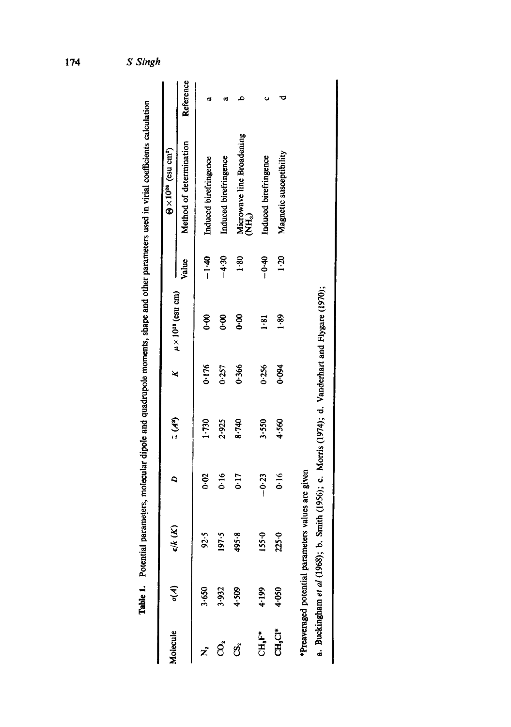|          |                  |                                      |      |             |       |                               |                | Table 1. Potential parameters, molecular dipole and quadrupole moments, shape and other parameters used in virial coefficients calculation |           |
|----------|------------------|--------------------------------------|------|-------------|-------|-------------------------------|----------------|--------------------------------------------------------------------------------------------------------------------------------------------|-----------|
| Molecule | $\epsilon^{(4)}$ | $\epsilon/k\left(\mathcal{K}\right)$ |      | $\tilde{G}$ | ×     | $\mu \times 10^{18}$ (esu cm) |                | $\Theta \times 10^{34}$ (esu cm <sup>2</sup> )                                                                                             |           |
|          |                  |                                      |      |             |       |                               | Value          | Method of determination                                                                                                                    | Reference |
|          | 3.650            | 92.5                                 | 0.02 | 1730        | 0.176 | 8.o                           | $-1.40$        | Induced birefringence                                                                                                                      | ದ         |
| වූ       | 3.932            | 197.5                                | 0.16 | 2.925       | 0.257 | 8.o                           | $-4.30$        | Induced birefringence                                                                                                                      | œ         |
| ගී       | 4.509            | 495.8                                | 0:17 | 8.740       | 0.366 | 8.6                           | $\frac{80}{1}$ | Microwave line Broadening                                                                                                                  |           |

 $-4.30$  $1.80$ 

2.925 8.740

0.366

Microwave line Broadening<br>(NH<sub>3</sub>)

 $\bullet$ 

 $1.81$   $-0.40$  Induced birefringence 1.20 **Magnetic susceptibility** d

 $-0.40$  $1 - 20$ 

 $1.81$ 

 $0.256$ 

 $3.550$ 

 $1.89$ 

0.094

4.560

Induced birefringence

Magnetic susceptibility

 $\overline{\mathbf{v}}$ 

 $\ddot{\phantom{0}}$ 

 $C_{256}$   $C_{3550}$   $C_{3550}$   $C_{419}$   $C_{350}$   $C_{419}$   $C_{419}$   $C_{419}$ CHaCI\* 4-050 225.0 0.16 4.560 0.094

155.0

4.199 4-050

 $225.0$ 

 $\text{CH}_3\text{Cl}^*$  $\mathbf{C}\mathbf{H}_9\mathbf{F}^*$ 

 $-0.23$  $0.16$ 

| ֘֒                   |
|----------------------|
| n wa                 |
| $\ddotsc$<br>Ī       |
|                      |
| $\ddot{\phantom{0}}$ |
| l                    |

a. Buckingham et al (1968); b. Smith (1956); c. Morris (1974); d. Vanderhart and Flygare (1970); a. Buckingham *et al* (1968); b. Smith (1956); c. Morris (1974); d. Vanderhart and Flygare (1970);

S Singh

174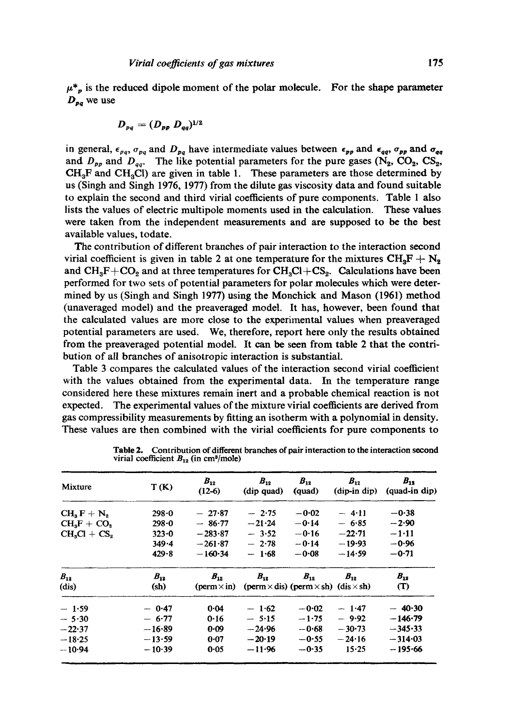$$
D_{pq}=(D_{pp}\ D_{qq})^{1/2}
$$

**Dpq we** use

in general,  $\epsilon_{pq}$ ,  $\sigma_{pq}$  and  $D_{pq}$  have intermediate values between  $\epsilon_{pp}$  and  $\epsilon_{qq}$ ,  $\sigma_{pp}$  and  $\sigma_{qq}$ and  $D_{pp}$  and  $D_{qq}$ . The like potential parameters for the pure gases (N<sub>2</sub>, CO<sub>2</sub>, CS<sub>2</sub>,  $CH_3F$  and  $CH_3Cl$ ) are given in table 1. These parameters are those determined by us (Singh and Singh 1976, 1977) from the dilute gas viscosity data and found suitable to explain the second and third virial coefficients of pure components. Table 1 also lists the values of electric multipole moments used in the calculation. These values were taken from the independent measurements and are supposed to be the best available values, todate.

The contribution of different branches of pair interaction to the interaction second virial coefficient is given in table 2 at one temperature for the mixtures  $CH_3F + N_2$ and  $CH_3F+CO_2$  and at three temperatures for  $CH_3Cl+CS_2$ . Calculations have been performed for two sets of potential parameters for polar molecules which were determined by us (Singh and Singh 1977) using the Monchick and Mason (1961) method (unaveraged model) and the preaveraged model. It has, however, been found that the calculated values are more close to the experimental values when preaveraged potential parameters are used. We, therefore, report here only the results obtained from the preaveraged potential model. It can be seen from table 2 that the contribution of all branches of anisotropic interaction is substantial.

Table 3 compares the calculated values of the interaction second virial coefficient with the values obtained from the experimental data. In the temperature range considered here these mixtures remain inert and a probable chemical reaction is not expected. The experimental values of the mixture virial coefficients are derived from gas compressibility measurements by fitting an isotherm with a polynomial in density. These values are then combined with the virial coefficients for pure components to

| Mixture       | T(K)      | $B_{12}$<br>$(12-6)$           | $B_{12}$<br>(dip quad)                                   | $B_{12}$<br>(quad) | $B_{12}$<br>(dip-in dip) | $B_{12}$<br>(quad-in dip) |
|---------------|-----------|--------------------------------|----------------------------------------------------------|--------------------|--------------------------|---------------------------|
| $CH_3F + N_2$ | 298.0     | $-27.87$                       | $-2.75$                                                  | $-0.02$            | $-4.11$                  | $-0.38$                   |
| $CH3F + CO2$  | $298 - 0$ | $-86.77$                       | $-21.24$                                                 | $-0.14$            | $-6.85$                  | $-2.90$                   |
| $CH3Cl + CS2$ | $323 - 0$ | $-283.87$                      | $-3.52$                                                  | $-0.16$            | $-22.71$                 | $-1.11$                   |
|               | 349.4     | $-261.87$                      | $-2.78$                                                  | $-0.14$            | $-19.93$                 | $-0.96$                   |
|               | 429.8     | $-160.34$                      | $-1.68$                                                  | $-0.08$            | $-14.59$                 | $-0.71$                   |
| $B_{12}$      | $B_{12}$  | $B_{12}$                       | $B_{12}$                                                 | $B_{12}$           | $B_{12}$                 | $B_{12}$                  |
| (dis)         | (sh)      | $(\text{perm}\times\text{in})$ | (perm $\times$ dis) (perm $\times$ sh) (dis $\times$ sh) |                    |                          | (T)                       |
| $-1.59$       | $-0.47$   | 0.04                           | $-1.62$                                                  | $-0.02$            | $-1.47$                  | $-40.30$                  |
| $-5.30$       | $-6.77$   | 0.16                           | $-5.15$                                                  | $-1.75$            | $-9.92$                  | $-146.79$                 |
| $-22.37$      | $-16-89$  | 0.09                           | $-24.96$                                                 | $-0.68$            | $-30.73$                 | $-345.33$                 |
| $-18.25$      | $-13.59$  | $0 - 07$                       | $-20-19$                                                 | $-0.55$            | $-24.16$                 | $-314-03$                 |
| $-10.94$      | $-10.39$  | 0.05                           | $-11.96$                                                 | $-0.35$            | $15 - 25$                | $-195.66$                 |

Table 2. Contribution of different branches of pair interaction to the interaction second virial coefficient  $B_{12}$  (in cm<sup>3</sup>/mole)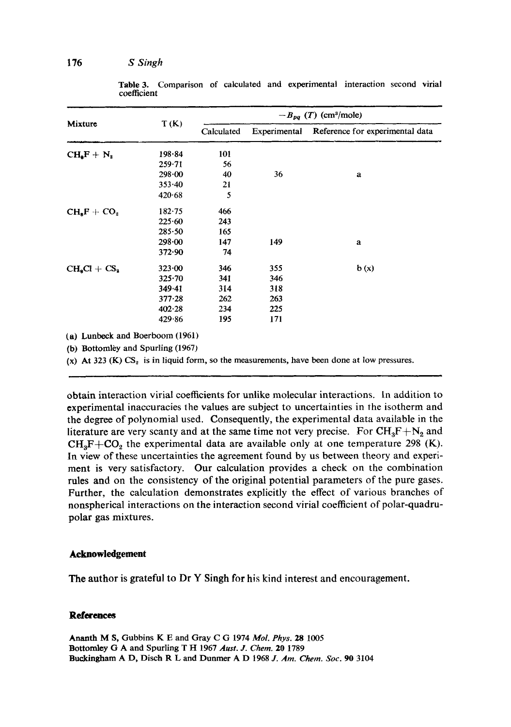| Mixture                         | T(K)       | $-B_{pq}$ (T) (cm <sup>3</sup> /mole) |     |                                              |  |  |
|---------------------------------|------------|---------------------------------------|-----|----------------------------------------------|--|--|
|                                 |            | Calculated                            |     | Experimental Reference for experimental data |  |  |
| $CHaF + N2$                     | $198 - 84$ | 101                                   |     |                                              |  |  |
|                                 | $259 - 71$ | 56                                    |     |                                              |  |  |
|                                 | 298.00     | 40                                    | 36  | a                                            |  |  |
|                                 | $353 - 40$ | 21                                    |     |                                              |  |  |
|                                 | 420.68     | 5                                     |     |                                              |  |  |
| $CHsF + CO2$                    | 182.75     | 466                                   |     |                                              |  |  |
|                                 | 225.60     | 243                                   |     |                                              |  |  |
|                                 | 285.50     | 165                                   |     |                                              |  |  |
|                                 | $298 - 00$ | 147                                   | 149 | a                                            |  |  |
|                                 | 372.90     | 74                                    |     |                                              |  |  |
| $CHsCl + CSs$                   | 323.00     | 346                                   | 355 | b(x)                                         |  |  |
|                                 | 325.70     | 341                                   | 346 |                                              |  |  |
|                                 | 349.41     | 314                                   | 318 |                                              |  |  |
|                                 | $377 - 28$ | 262                                   | 263 |                                              |  |  |
|                                 | 402.28     | 234                                   | 225 |                                              |  |  |
|                                 | 429.86     | 195                                   | 171 |                                              |  |  |
| (a) Lunbeck and Boerhoom (1961) |            |                                       |     |                                              |  |  |

Table 3, Comparison of calculated and experimental interaction second virial coefficient

(a) Lunbeek and Boerboom (1961)

(b) Bottomley and Spurling (1967)

(x) At 323 (K)  $CS<sub>2</sub>$  is in liquid form, so the measurements, have been done at low pressures.

obtain interaction virial coefficients for unlike molecular interactions. In addition to experimental inaccuracies the values are subject to uncertainties in the isotherm and the degree of polynomial used. Consequently, the experimental data available in the literature are very scanty and at the same time not very precise. For  $CH_3F+N_2$  and  $CH_3F+CO_2$  the experimental data are available only at one temperature 298 (K). In view of these uncertainties the agreement found by us between theory and experiment is very satisfactory. Our calculation provides a check on the combination rules and on the consistency of the original potential parameters of the pure gases. Further, the calculation demonstrates explicitly the effect of various branches of nonspherical interactions on the interaction second virial coefficient of polar-quadrupolar gas mixtures.

#### **Acknowledgement**

The author is grateful to Dr Y Singh for his kind interest and encouragement.

#### **References**

Ananth M S, Gubbins K E and Gray C G 1974 *Mol. Phys.* 28 1005 Bottomley G A and Spurling T H 1967 *Aust. J. Chem.* 20 1789 Buckingham A D, Diseh R L and Dunmer A D 1968 *J. Am. Chem. Soc. 90* 3104